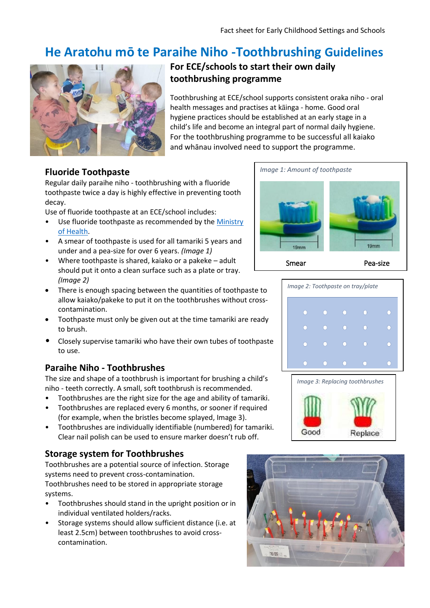# **He Aratohu mō te Paraihe Niho -Toothbrushing Guidelines**



# **For ECE/schools to start their own daily toothbrushing programme**

Toothbrushing at ECE/school supports consistent oraka niho - oral health messages and practises at kāinga - home. Good oral hygiene practices should be established at an early stage in a child's life and become an integral part of normal daily hygiene. For the toothbrushing programme to be successful all kaiako and whānau involved need to support the programme.

### **Fluoride Toothpaste**

Regular daily paraihe niho - toothbrushing with a fluoride toothpaste twice a day is highly effective in preventing tooth decay.

Use of fluoride toothpaste at an ECE/school includes:

- Use fluoride toothpaste as recommended by the Ministry [of Health.](https://www.health.govt.nz/your-health/healthy-living/teeth-and-gums/fluoride)
- A smear of toothpaste is used for all tamariki 5 years and under and a pea-size for over 6 years. *(Image 1)*
- Where toothpaste is shared, kaiako or a pakeke adult should put it onto a clean surface such as a plate or tray. *(Image 2)*
- There is enough spacing between the quantities of toothpaste to allow kaiako/pakeke to put it on the toothbrushes without crosscontamination.
- Toothpaste must only be given out at the time tamariki are ready to brush.
- Closely supervise tamariki who have their own tubes of toothpaste to use.

#### **Paraihe Niho - Toothbrushes**

The size and shape of a toothbrush is important for brushing a child's niho - teeth correctly. A small, soft toothbrush is recommended.

- Toothbrushes are the right size for the age and ability of tamariki.
- Toothbrushes are replaced every 6 months, or sooner if required (for example, when the bristles become splayed, Image 3).
- Toothbrushes are individually identifiable (numbered) for tamariki. Clear nail polish can be used to ensure marker doesn't rub off.

# **Storage system for Toothbrushes**

Toothbrushes are a potential source of infection. Storage systems need to prevent cross-contamination. Toothbrushes need to be stored in appropriate storage systems.

- Toothbrushes should stand in the upright position or in individual ventilated holders/racks.
- Storage systems should allow sufficient distance (i.e. at least 2.5cm) between toothbrushes to avoid crosscontamination.